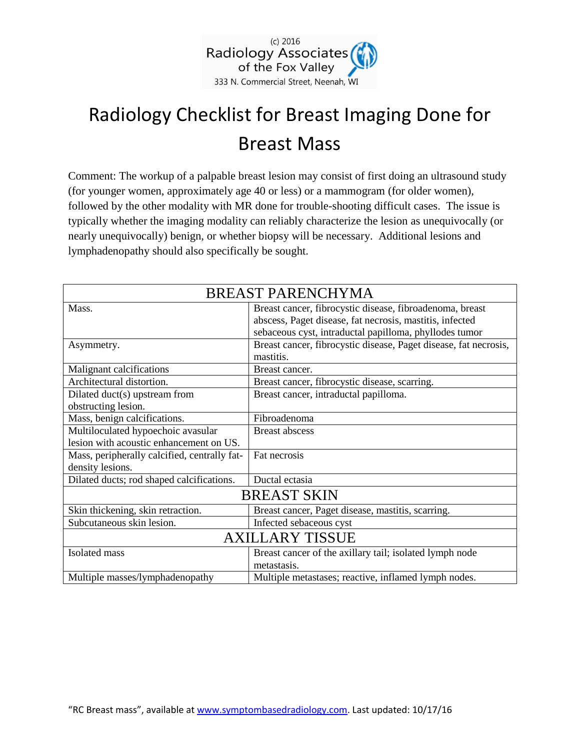

# Radiology Checklist for Breast Imaging Done for Breast Mass

Comment: The workup of a palpable breast lesion may consist of first doing an ultrasound study (for younger women, approximately age 40 or less) or a mammogram (for older women), followed by the other modality with MR done for trouble-shooting difficult cases. The issue is typically whether the imaging modality can reliably characterize the lesion as unequivocally (or nearly unequivocally) benign, or whether biopsy will be necessary. Additional lesions and lymphadenopathy should also specifically be sought.

| <b>BREAST PARENCHYMA</b>                     |                                                                  |
|----------------------------------------------|------------------------------------------------------------------|
| Mass.                                        | Breast cancer, fibrocystic disease, fibroadenoma, breast         |
|                                              | abscess, Paget disease, fat necrosis, mastitis, infected         |
|                                              | sebaceous cyst, intraductal papilloma, phyllodes tumor           |
| Asymmetry.                                   | Breast cancer, fibrocystic disease, Paget disease, fat necrosis, |
|                                              | mastitis.                                                        |
| Malignant calcifications                     | Breast cancer.                                                   |
| Architectural distortion.                    | Breast cancer, fibrocystic disease, scarring.                    |
| Dilated duct(s) upstream from                | Breast cancer, intraductal papilloma.                            |
| obstructing lesion.                          |                                                                  |
| Mass, benign calcifications.                 | Fibroadenoma                                                     |
| Multiloculated hypoechoic avasular           | <b>Breast abscess</b>                                            |
| lesion with acoustic enhancement on US.      |                                                                  |
| Mass, peripherally calcified, centrally fat- | Fat necrosis                                                     |
| density lesions.                             |                                                                  |
| Dilated ducts; rod shaped calcifications.    | Ductal ectasia                                                   |
| <b>BREAST SKIN</b>                           |                                                                  |
| Skin thickening, skin retraction.            | Breast cancer, Paget disease, mastitis, scarring.                |
| Subcutaneous skin lesion.                    | Infected sebaceous cyst                                          |
| <b>AXILLARY TISSUE</b>                       |                                                                  |
| Isolated mass                                | Breast cancer of the axillary tail; isolated lymph node          |
|                                              | metastasis.                                                      |
| Multiple masses/lymphadenopathy              | Multiple metastases; reactive, inflamed lymph nodes.             |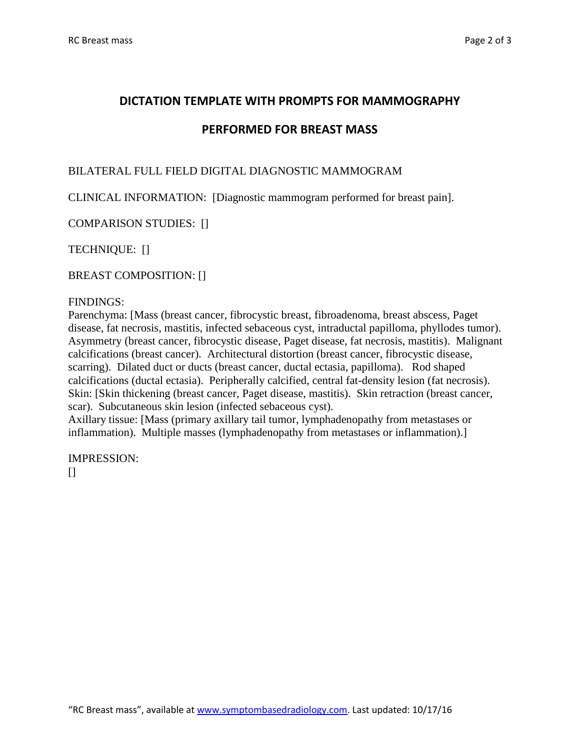## **DICTATION TEMPLATE WITH PROMPTS FOR MAMMOGRAPHY**

## **PERFORMED FOR BREAST MASS**

### BILATERAL FULL FIELD DIGITAL DIAGNOSTIC MAMMOGRAM

CLINICAL INFORMATION: [Diagnostic mammogram performed for breast pain].

COMPARISON STUDIES: []

TECHNIQUE: []

BREAST COMPOSITION: []

#### FINDINGS:

Parenchyma: [Mass (breast cancer, fibrocystic breast, fibroadenoma, breast abscess, Paget disease, fat necrosis, mastitis, infected sebaceous cyst, intraductal papilloma, phyllodes tumor). Asymmetry (breast cancer, fibrocystic disease, Paget disease, fat necrosis, mastitis). Malignant calcifications (breast cancer). Architectural distortion (breast cancer, fibrocystic disease, scarring). Dilated duct or ducts (breast cancer, ductal ectasia, papilloma). Rod shaped calcifications (ductal ectasia). Peripherally calcified, central fat-density lesion (fat necrosis). Skin: [Skin thickening (breast cancer, Paget disease, mastitis). Skin retraction (breast cancer, scar). Subcutaneous skin lesion (infected sebaceous cyst).

Axillary tissue: [Mass (primary axillary tail tumor, lymphadenopathy from metastases or inflammation). Multiple masses (lymphadenopathy from metastases or inflammation).]

IMPRESSION:  $\Box$ 

"RC Breast mass", available at [www.symptombasedradiology.com.](http://www.symptombasedradiology.com/) Last updated: 10/17/16